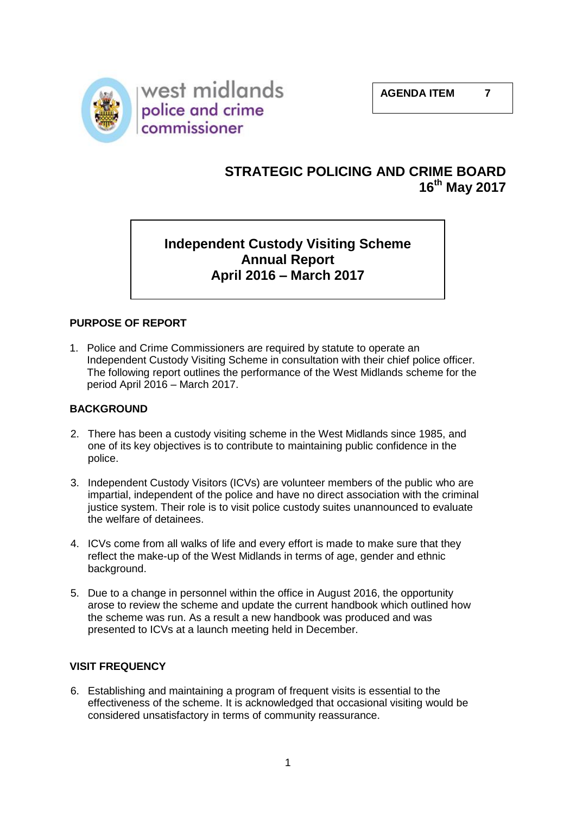

# **STRATEGIC POLICING AND CRIME BOARD 16th May 2017**

# **Independent Custody Visiting Scheme Annual Report April 2016 – March 2017**

## **PURPOSE OF REPORT**

1. Police and Crime Commissioners are required by statute to operate an Independent Custody Visiting Scheme in consultation with their chief police officer. The following report outlines the performance of the West Midlands scheme for the period April 2016 – March 2017.

#### **BACKGROUND**

- 2. There has been a custody visiting scheme in the West Midlands since 1985, and one of its key objectives is to contribute to maintaining public confidence in the police.
- 3. Independent Custody Visitors (ICVs) are volunteer members of the public who are impartial, independent of the police and have no direct association with the criminal justice system. Their role is to visit police custody suites unannounced to evaluate the welfare of detainees.
- 4. ICVs come from all walks of life and every effort is made to make sure that they reflect the make-up of the West Midlands in terms of age, gender and ethnic background.
- 5. Due to a change in personnel within the office in August 2016, the opportunity arose to review the scheme and update the current handbook which outlined how the scheme was run. As a result a new handbook was produced and was presented to ICVs at a launch meeting held in December.

#### **VISIT FREQUENCY**

6. Establishing and maintaining a program of frequent visits is essential to the effectiveness of the scheme. It is acknowledged that occasional visiting would be considered unsatisfactory in terms of community reassurance.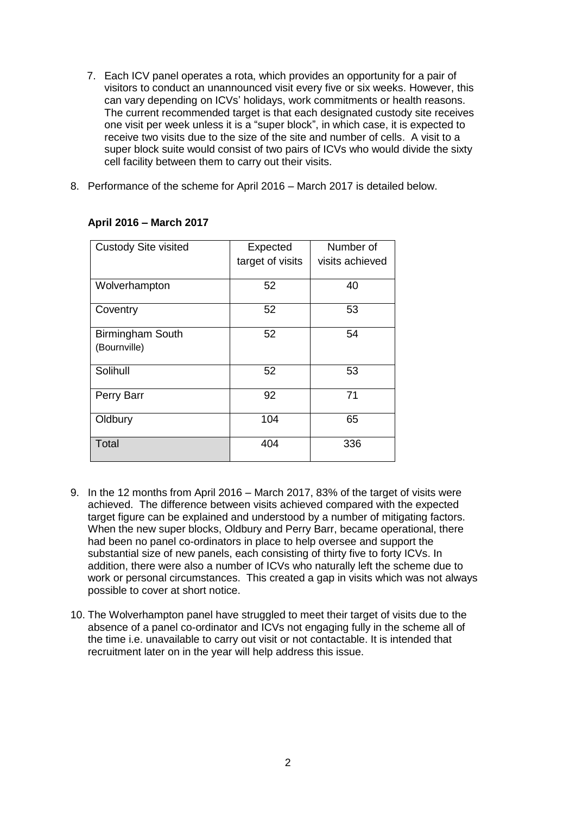- 7. Each ICV panel operates a rota, which provides an opportunity for a pair of visitors to conduct an unannounced visit every five or six weeks. However, this can vary depending on ICVs' holidays, work commitments or health reasons. The current recommended target is that each designated custody site receives one visit per week unless it is a "super block", in which case, it is expected to receive two visits due to the size of the site and number of cells. A visit to a super block suite would consist of two pairs of ICVs who would divide the sixty cell facility between them to carry out their visits.
- 8. Performance of the scheme for April 2016 March 2017 is detailed below.

| <b>Custody Site visited</b> | Expected         | Number of       |
|-----------------------------|------------------|-----------------|
|                             | target of visits | visits achieved |
|                             |                  |                 |
| Wolverhampton               | 52               | 40              |
| Coventry                    | 52               | 53              |
| <b>Birmingham South</b>     | 52               | 54              |
| (Bournville)                |                  |                 |
| Solihull                    | 52               | 53              |
| Perry Barr                  | 92               | 71              |
| Oldbury                     | 104              | 65              |
| <b>Total</b>                | 404              | 336             |

#### **April 2016 – March 2017**

- 9. In the 12 months from April 2016 March 2017, 83% of the target of visits were achieved. The difference between visits achieved compared with the expected target figure can be explained and understood by a number of mitigating factors. When the new super blocks, Oldbury and Perry Barr, became operational, there had been no panel co-ordinators in place to help oversee and support the substantial size of new panels, each consisting of thirty five to forty ICVs. In addition, there were also a number of ICVs who naturally left the scheme due to work or personal circumstances. This created a gap in visits which was not always possible to cover at short notice.
- 10. The Wolverhampton panel have struggled to meet their target of visits due to the absence of a panel co-ordinator and ICVs not engaging fully in the scheme all of the time i.e. unavailable to carry out visit or not contactable. It is intended that recruitment later on in the year will help address this issue.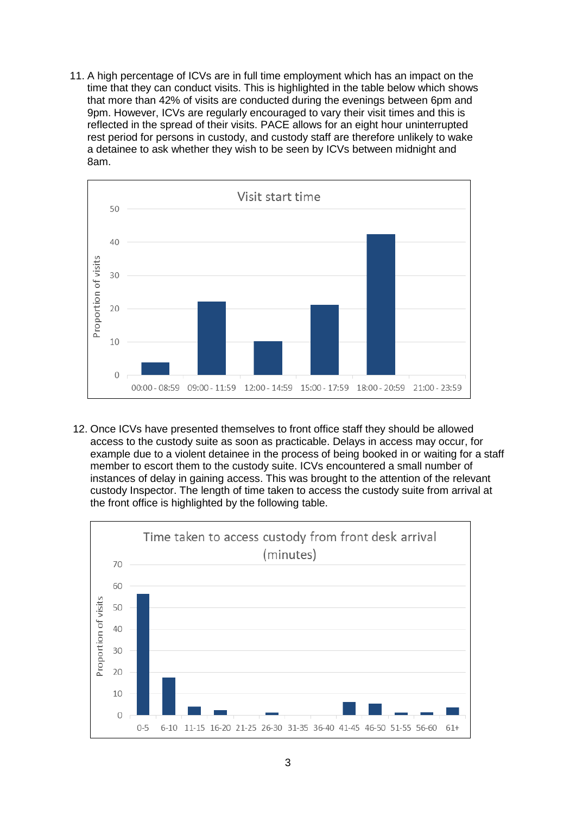11. A high percentage of ICVs are in full time employment which has an impact on the time that they can conduct visits. This is highlighted in the table below which shows that more than 42% of visits are conducted during the evenings between 6pm and 9pm. However, ICVs are regularly encouraged to vary their visit times and this is reflected in the spread of their visits. PACE allows for an eight hour uninterrupted rest period for persons in custody, and custody staff are therefore unlikely to wake a detainee to ask whether they wish to be seen by ICVs between midnight and 8am.



12. Once ICVs have presented themselves to front office staff they should be allowed access to the custody suite as soon as practicable. Delays in access may occur, for example due to a violent detainee in the process of being booked in or waiting for a staff member to escort them to the custody suite. ICVs encountered a small number of instances of delay in gaining access. This was brought to the attention of the relevant custody Inspector. The length of time taken to access the custody suite from arrival at the front office is highlighted by the following table.

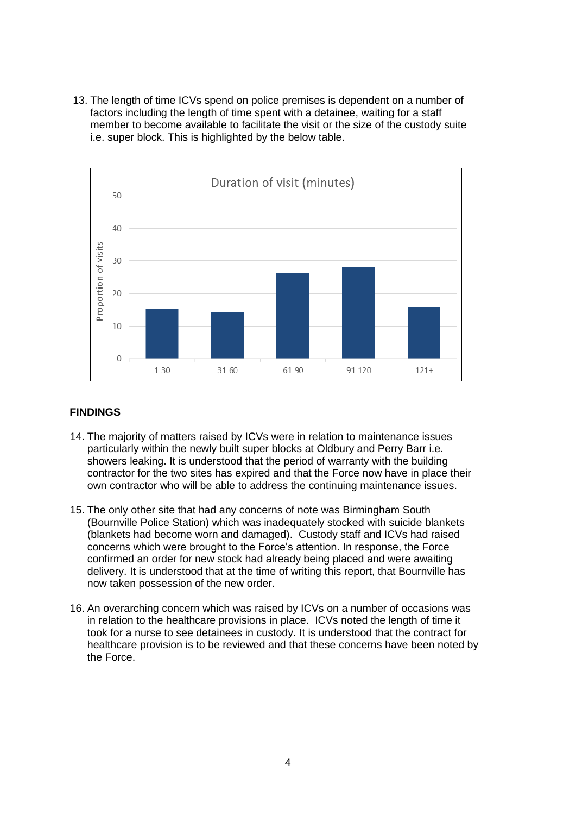13. The length of time ICVs spend on police premises is dependent on a number of factors including the length of time spent with a detainee, waiting for a staff member to become available to facilitate the visit or the size of the custody suite i.e. super block. This is highlighted by the below table.



### **FINDINGS**

- 14. The majority of matters raised by ICVs were in relation to maintenance issues particularly within the newly built super blocks at Oldbury and Perry Barr i.e. showers leaking. It is understood that the period of warranty with the building contractor for the two sites has expired and that the Force now have in place their own contractor who will be able to address the continuing maintenance issues.
- 15. The only other site that had any concerns of note was Birmingham South (Bournville Police Station) which was inadequately stocked with suicide blankets (blankets had become worn and damaged). Custody staff and ICVs had raised concerns which were brought to the Force's attention. In response, the Force confirmed an order for new stock had already being placed and were awaiting delivery. It is understood that at the time of writing this report, that Bournville has now taken possession of the new order.
- 16. An overarching concern which was raised by ICVs on a number of occasions was in relation to the healthcare provisions in place. ICVs noted the length of time it took for a nurse to see detainees in custody. It is understood that the contract for healthcare provision is to be reviewed and that these concerns have been noted by the Force.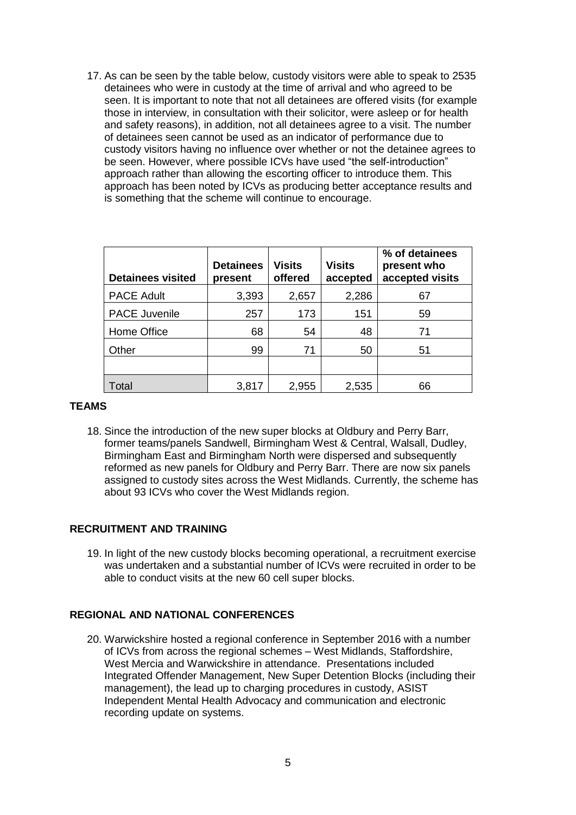17. As can be seen by the table below, custody visitors were able to speak to 2535 detainees who were in custody at the time of arrival and who agreed to be seen. It is important to note that not all detainees are offered visits (for example those in interview, in consultation with their solicitor, were asleep or for health and safety reasons), in addition, not all detainees agree to a visit. The number of detainees seen cannot be used as an indicator of performance due to custody visitors having no influence over whether or not the detainee agrees to be seen. However, where possible ICVs have used "the self-introduction" approach rather than allowing the escorting officer to introduce them. This approach has been noted by ICVs as producing better acceptance results and is something that the scheme will continue to encourage.

| <b>Detainees visited</b> | <b>Detainees</b><br>present | <b>Visits</b><br>offered | <b>Visits</b><br>accepted | % of detainees<br>present who<br>accepted visits |
|--------------------------|-----------------------------|--------------------------|---------------------------|--------------------------------------------------|
| <b>PACE Adult</b>        | 3,393                       | 2,657                    | 2,286                     | 67                                               |
| <b>PACE Juvenile</b>     | 257                         | 173                      | 151                       | 59                                               |
| Home Office              | 68                          | 54                       | 48                        | 71                                               |
| Other                    | 99                          | 71                       | 50                        | 51                                               |
|                          |                             |                          |                           |                                                  |
| Total                    | 3,817                       | 2,955                    | 2,535                     | 66                                               |

#### **TEAMS**

18. Since the introduction of the new super blocks at Oldbury and Perry Barr, former teams/panels Sandwell, Birmingham West & Central, Walsall, Dudley, Birmingham East and Birmingham North were dispersed and subsequently reformed as new panels for Oldbury and Perry Barr. There are now six panels assigned to custody sites across the West Midlands. Currently, the scheme has about 93 ICVs who cover the West Midlands region.

#### **RECRUITMENT AND TRAINING**

19. In light of the new custody blocks becoming operational, a recruitment exercise was undertaken and a substantial number of ICVs were recruited in order to be able to conduct visits at the new 60 cell super blocks.

#### **REGIONAL AND NATIONAL CONFERENCES**

20. Warwickshire hosted a regional conference in September 2016 with a number of ICVs from across the regional schemes – West Midlands, Staffordshire, West Mercia and Warwickshire in attendance. Presentations included Integrated Offender Management, New Super Detention Blocks (including their management), the lead up to charging procedures in custody, ASIST Independent Mental Health Advocacy and communication and electronic recording update on systems.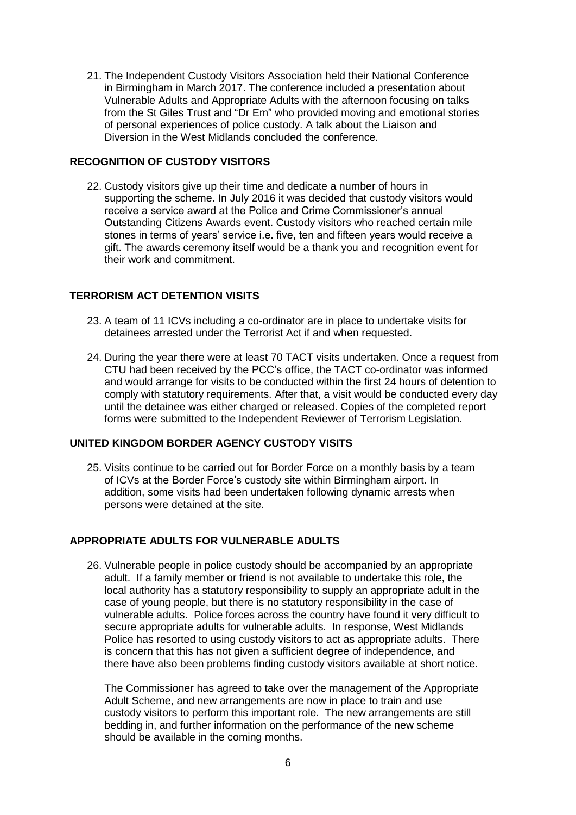21. The Independent Custody Visitors Association held their National Conference in Birmingham in March 2017. The conference included a presentation about Vulnerable Adults and Appropriate Adults with the afternoon focusing on talks from the St Giles Trust and "Dr Em" who provided moving and emotional stories of personal experiences of police custody. A talk about the Liaison and Diversion in the West Midlands concluded the conference.

#### **RECOGNITION OF CUSTODY VISITORS**

22. Custody visitors give up their time and dedicate a number of hours in supporting the scheme. In July 2016 it was decided that custody visitors would receive a service award at the Police and Crime Commissioner's annual Outstanding Citizens Awards event. Custody visitors who reached certain mile stones in terms of years' service i.e. five, ten and fifteen years would receive a gift. The awards ceremony itself would be a thank you and recognition event for their work and commitment.

#### **TERRORISM ACT DETENTION VISITS**

- 23. A team of 11 ICVs including a co-ordinator are in place to undertake visits for detainees arrested under the Terrorist Act if and when requested.
- 24. During the year there were at least 70 TACT visits undertaken. Once a request from CTU had been received by the PCC's office, the TACT co-ordinator was informed and would arrange for visits to be conducted within the first 24 hours of detention to comply with statutory requirements. After that, a visit would be conducted every day until the detainee was either charged or released. Copies of the completed report forms were submitted to the Independent Reviewer of Terrorism Legislation.

#### **UNITED KINGDOM BORDER AGENCY CUSTODY VISITS**

25. Visits continue to be carried out for Border Force on a monthly basis by a team of ICVs at the Border Force's custody site within Birmingham airport. In addition, some visits had been undertaken following dynamic arrests when persons were detained at the site.

#### **APPROPRIATE ADULTS FOR VULNERABLE ADULTS**

26. Vulnerable people in police custody should be accompanied by an appropriate adult. If a family member or friend is not available to undertake this role, the local authority has a statutory responsibility to supply an appropriate adult in the case of young people, but there is no statutory responsibility in the case of vulnerable adults. Police forces across the country have found it very difficult to secure appropriate adults for vulnerable adults. In response, West Midlands Police has resorted to using custody visitors to act as appropriate adults. There is concern that this has not given a sufficient degree of independence, and there have also been problems finding custody visitors available at short notice.

The Commissioner has agreed to take over the management of the Appropriate Adult Scheme, and new arrangements are now in place to train and use custody visitors to perform this important role. The new arrangements are still bedding in, and further information on the performance of the new scheme should be available in the coming months.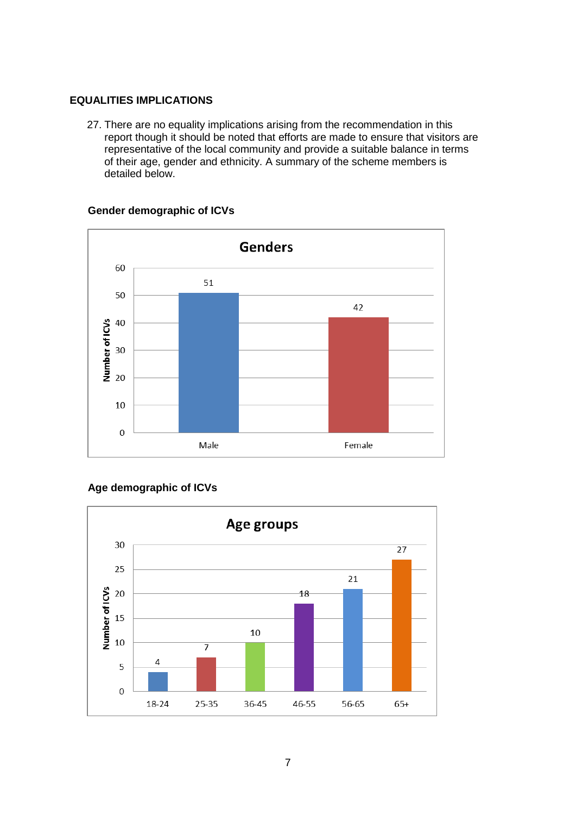#### **EQUALITIES IMPLICATIONS**

27. There are no equality implications arising from the recommendation in this report though it should be noted that efforts are made to ensure that visitors are representative of the local community and provide a suitable balance in terms of their age, gender and ethnicity. A summary of the scheme members is detailed below.



#### **Gender demographic of ICVs**

## **Age demographic of ICVs**